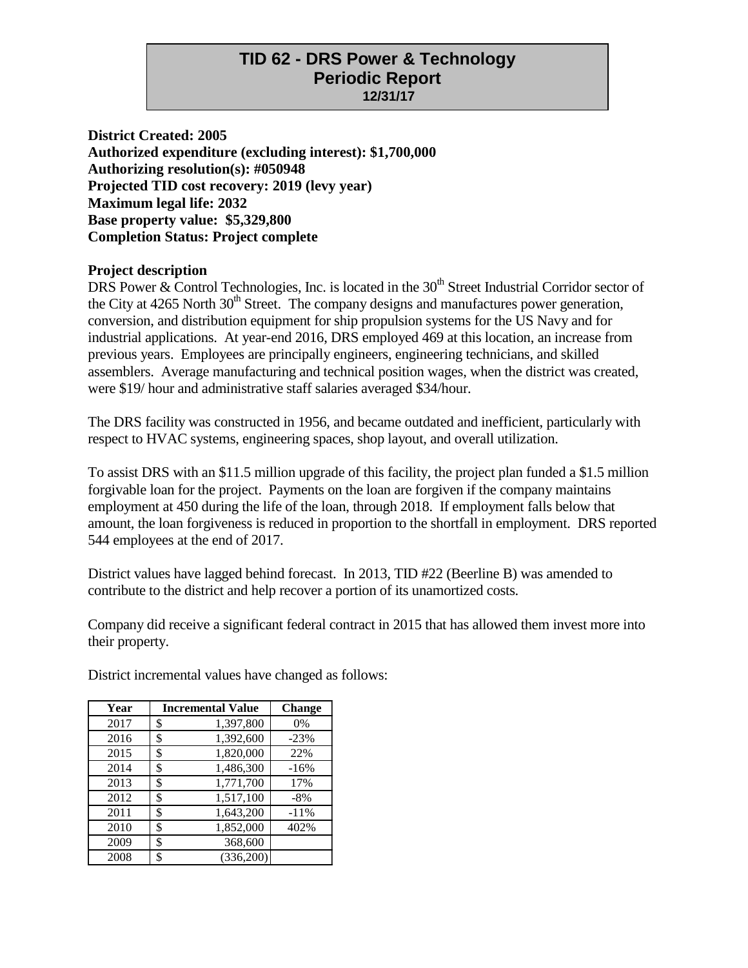# **TID 62 - DRS Power & Technology Periodic Report 12/31/17**

**District Created: 2005 Authorized expenditure (excluding interest): \$1,700,000 Authorizing resolution(s): #050948 Projected TID cost recovery: 2019 (levy year) Maximum legal life: 2032 Base property value: \$5,329,800 Completion Status: Project complete**

#### **Project description**

DRS Power & Control Technologies, Inc. is located in the  $30<sup>th</sup>$  Street Industrial Corridor sector of the City at  $4265$  North  $30<sup>th</sup>$  Street. The company designs and manufactures power generation, conversion, and distribution equipment for ship propulsion systems for the US Navy and for industrial applications. At year-end 2016, DRS employed 469 at this location, an increase from previous years. Employees are principally engineers, engineering technicians, and skilled assemblers. Average manufacturing and technical position wages, when the district was created, were \$19/ hour and administrative staff salaries averaged \$34/hour.

The DRS facility was constructed in 1956, and became outdated and inefficient, particularly with respect to HVAC systems, engineering spaces, shop layout, and overall utilization.

To assist DRS with an \$11.5 million upgrade of this facility, the project plan funded a \$1.5 million forgivable loan for the project. Payments on the loan are forgiven if the company maintains employment at 450 during the life of the loan, through 2018. If employment falls below that amount, the loan forgiveness is reduced in proportion to the shortfall in employment. DRS reported 544 employees at the end of 2017.

District values have lagged behind forecast. In 2013, TID #22 (Beerline B) was amended to contribute to the district and help recover a portion of its unamortized costs.

Company did receive a significant federal contract in 2015 that has allowed them invest more into their property.

**Year Incremental Value Change** \$ 1,397,800 0% \$ 1,392,600 -23% 2015 \$ 1,820,000 22%<br>2014 \$ 1,486,300 -16% \$ 1,486,300 -16% \$ 1,771,700 17% \$ 1,517,100 -8% \$ 1,643,200 -11% \$ 1,852,000 402% \$ 368,600 \$ (336,200)

District incremental values have changed as follows: